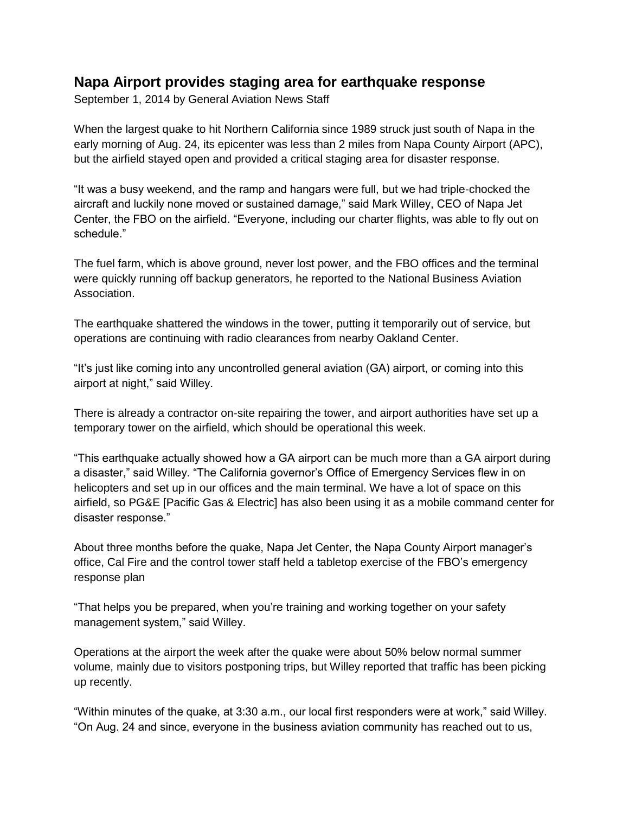## **Napa Airport provides staging area for earthquake response**

September 1, 2014 by General Aviation News Staff

When the largest quake to hit Northern California since 1989 struck just south of Napa in the early morning of Aug. 24, its epicenter was less than 2 miles from Napa County Airport (APC), but the airfield stayed open and provided a critical staging area for disaster response.

"It was a busy weekend, and the ramp and hangars were full, but we had triple-chocked the aircraft and luckily none moved or sustained damage," said Mark Willey, CEO of Napa Jet Center, the FBO on the airfield. "Everyone, including our charter flights, was able to fly out on schedule."

The fuel farm, which is above ground, never lost power, and the FBO offices and the terminal were quickly running off backup generators, he reported to the National Business Aviation Association.

The earthquake shattered the windows in the tower, putting it temporarily out of service, but operations are continuing with radio clearances from nearby Oakland Center.

"It's just like coming into any uncontrolled general aviation (GA) airport, or coming into this airport at night," said Willey.

There is already a contractor on-site repairing the tower, and airport authorities have set up a temporary tower on the airfield, which should be operational this week.

"This earthquake actually showed how a GA airport can be much more than a GA airport during a disaster," said Willey. "The California governor's Office of Emergency Services flew in on helicopters and set up in our offices and the main terminal. We have a lot of space on this airfield, so PG&E [Pacific Gas & Electric] has also been using it as a mobile command center for disaster response."

About three months before the quake, Napa Jet Center, the Napa County Airport manager's office, Cal Fire and the control tower staff held a tabletop exercise of the FBO's emergency response plan

"That helps you be prepared, when you're training and working together on your safety management system," said Willey.

Operations at the airport the week after the quake were about 50% below normal summer volume, mainly due to visitors postponing trips, but Willey reported that traffic has been picking up recently.

"Within minutes of the quake, at 3:30 a.m., our local first responders were at work," said Willey. "On Aug. 24 and since, everyone in the business aviation community has reached out to us,